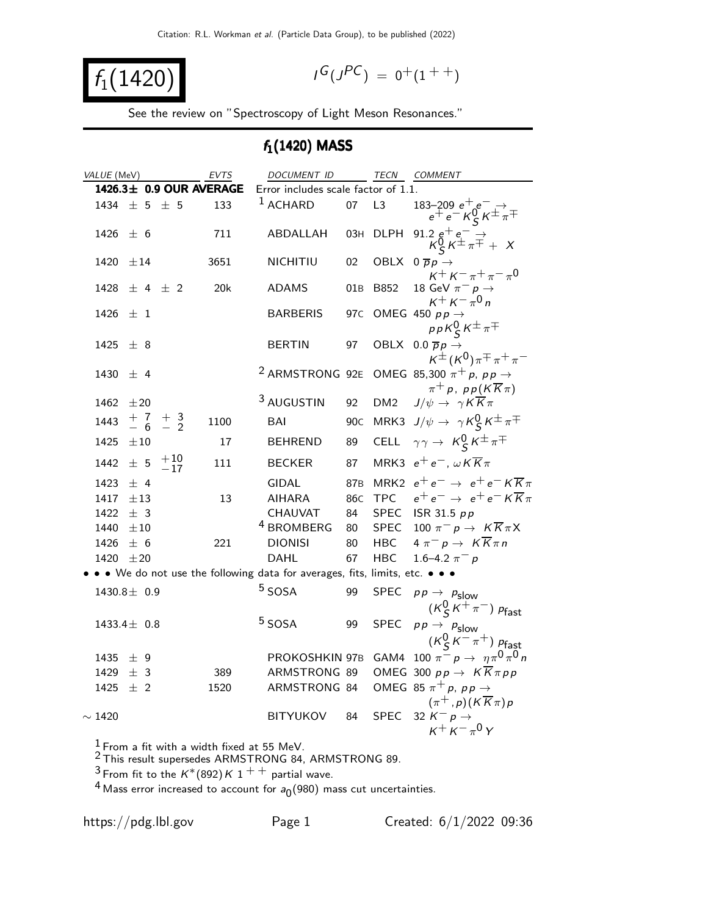$$
f_1(1420)
$$

$$
I^G(J^{PC}) = 0^+(1^{++})
$$

See the review on "Spectroscopy of Light Meson Resonances."

#### $f_1(1420)$  MASS

| VALUE (MeV)                                                                 | EVTS | DOCUMENT ID                             |                 | TECN               | COMMENT                                                                                                            |
|-----------------------------------------------------------------------------|------|-----------------------------------------|-----------------|--------------------|--------------------------------------------------------------------------------------------------------------------|
| 1426.3± 0.9 OUR AVERAGE                                                     |      | Error includes scale factor of 1.1.     |                 |                    |                                                                                                                    |
| $\pm$ 5 $\pm$ 5<br>1434                                                     | 133  | $1$ ACHARD                              | 07              | L3                 | $\begin{array}{c} 183\text{--}209\ e^+\,e^-\rightarrow \\ e^+\,e^-\,{\cal K}^0_S\,{\cal K}^\pm\pi^\mp \end{array}$ |
| 1426<br>± 6                                                                 | 711  | ABDALLAH                                | 03H             | <b>DLPH</b>        | 91.2 $e^+e^-$<br>$K_S^0 K^{\pm} \pi^{\mp}$ + X                                                                     |
| 1420<br>±14                                                                 | 3651 | NICHITIU                                | 02              |                    | OBLX $0 \overline{p} p \rightarrow$<br>$K^+ K^- \pi^+ \pi^- \pi^0$                                                 |
| $\pm$ 4 $\pm$ 2<br>1428                                                     | 20k  | <b>ADAMS</b>                            | 01B             | B852               | 18 GeV $\pi^ p \rightarrow$<br>$K^+ K^- \pi^0 n$                                                                   |
| 1426<br>$\pm$ 1                                                             |      | <b>BARBERIS</b>                         | 97 <sub>C</sub> |                    | OMEG 450 $p p \rightarrow$<br>$p p K_S^0 K^{\pm} \pi^{\mp}$                                                        |
| 1425<br>± 8                                                                 |      | <b>BERTIN</b>                           | 97              |                    | OBLX 0.0 $\overline{p}p \rightarrow$<br>$K^{\pm}$ (K <sup>0</sup> ) $\pi^{\mp}$ $\pi^+$ $\pi^-$                    |
| 1430<br>$±$ 4                                                               |      | <sup>2</sup> ARMSTRONG 92E              |                 |                    | OMEG 85,300 $\pi^+ p$ , $p p \rightarrow$<br>$\pi^+ p$ , pp( $K\overline{K}\pi$ )                                  |
| 1462<br>±20                                                                 |      | 3 AUGUSTIN                              | 92              | DM <sub>2</sub>    | $J/\psi \rightarrow \gamma K \overline{K} \pi$                                                                     |
| $+7$ $+3$<br>$-6$ $-2$<br>1443                                              | 1100 | BAI                                     | 90 <sub>C</sub> |                    | MRK3 $J/\psi \rightarrow \gamma K_S^0 K^{\pm} \pi^{\mp}$                                                           |
| ±10<br>1425                                                                 | 17   | <b>BEHREND</b>                          | 89              | CELL               | $\gamma \gamma \rightarrow K_S^0 K^{\pm} \pi^{\mp}$                                                                |
| $\pm$ 5 $\frac{+10}{-17}$<br>1442                                           | 111  | <b>BECKER</b>                           | 87              |                    | MRK3 $e^+e^-$ , $\omega K \overline{K} \pi$                                                                        |
| 1423<br>± 4                                                                 |      | <b>GIDAL</b>                            | 87 <sub>B</sub> |                    | MRK2 $e^+e^- \rightarrow e^+e^- K \overline{K} \pi$                                                                |
| 1417<br>$\pm 13$                                                            | 13   | <b>AIHARA</b>                           | 86 <sub>C</sub> |                    | TPC $e^+e^- \rightarrow e^+e^- K \overline{K} \pi$                                                                 |
| 1422<br>± 3                                                                 |      | CHAUVAT                                 | 84              |                    | SPEC ISR 31.5 $pp$                                                                                                 |
| 1440<br>$\pm 10$<br>1426                                                    | 221  | <sup>4</sup> BROMBERG<br><b>DIONISI</b> | 80<br>80        | SPEC<br><b>HBC</b> | 100 $\pi^- p \to K \overline{K} \pi X$<br>$4 \pi^- p \rightarrow K \overline{K} \pi n$                             |
| ± 6<br>1420<br>±20                                                          |      | <b>DAHL</b>                             | 67              | <b>HBC</b>         | 1.6–4.2 $\pi^- p$                                                                                                  |
| • • We do not use the following data for averages, fits, limits, etc. • • • |      |                                         |                 |                    |                                                                                                                    |
|                                                                             |      | $5$ SOSA                                |                 |                    |                                                                                                                    |
| 1430.8 $\pm$ 0.9                                                            |      |                                         | 99              | <b>SPEC</b>        | $p p \rightarrow p_{\text{slow}}$<br>$(K_S^0 K^+\pi^-)$ $p_{\text{fast}}$                                          |
| $1433.4 \pm 0.8$                                                            |      | <sup>5</sup> SOSA                       | 99              | <b>SPEC</b>        | $p p \rightarrow p_{\text{slow}}$<br>$(K_S^0 K^- \pi^+) p_{\text{fast}}$                                           |
| 1435<br>± 9                                                                 |      | PROKOSHKIN 97B                          |                 |                    | GAM4 100 $\pi^- p \to \eta \pi^0 \pi^0 n$                                                                          |
| 1429<br>± 3                                                                 | 389  | ARMSTRONG 89                            |                 |                    | OMEG 300 $pp \rightarrow K \overline{K} \pi pp$                                                                    |
| 1425<br>$±$ 2                                                               | 1520 | ARMSTRONG 84                            |                 |                    | OMEG 85 $\pi^+ p$ , $p p \rightarrow$                                                                              |
|                                                                             |      |                                         |                 |                    | $(\pi^+, p)(K\overline{K}\pi)p$                                                                                    |
| $\sim$ 1420                                                                 |      | <b>BITYUKOV</b>                         | 84              | <b>SPEC</b>        | 32 $K^- p \rightarrow$<br>$K^+ K^- \pi^0 Y$                                                                        |
| $1 -$                                                                       |      |                                         |                 |                    |                                                                                                                    |

 $\frac{1}{6}$  From a fit with a width fixed at 55 MeV.

 $2$  This result supersedes ARMSTRONG 84, ARMSTRONG 89.

 $^3$ From fit to the  $\mathit{K}^\ast(892)\,\mathit{K}$   $1$   $^+$   $^+$  partial wave.

 $^4$  Mass error increased to account for  $a_0(980)$  mass cut uncertainties.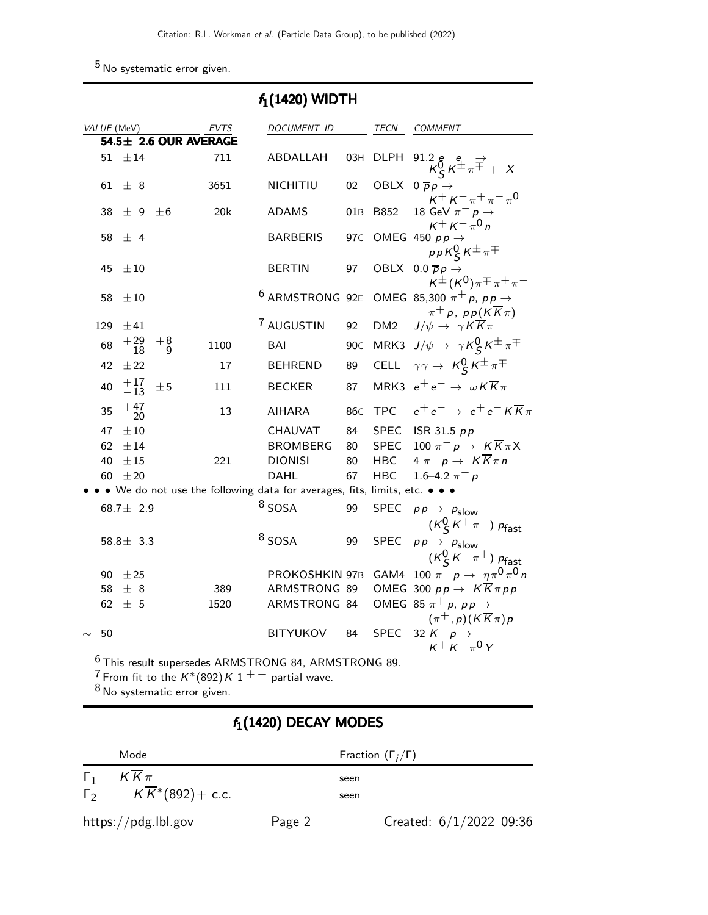5 No systematic error given.

|        | $f_1(1420)$ WIDTH |                         |                       |      |  |                                                                                                                                    |                 |                 |                                                                                                 |
|--------|-------------------|-------------------------|-----------------------|------|--|------------------------------------------------------------------------------------------------------------------------------------|-----------------|-----------------|-------------------------------------------------------------------------------------------------|
|        |                   | VALUE (MeV)             |                       | EVTS |  | DOCUMENT ID                                                                                                                        |                 | TECN            | <b>COMMENT</b>                                                                                  |
|        |                   |                         | 54.5± 2.6 OUR AVERAGE |      |  |                                                                                                                                    |                 |                 |                                                                                                 |
|        | 51                | $\pm 14$                |                       | 711  |  | ABDALLAH                                                                                                                           | 03H             | <b>DLPH</b>     | 91.2 $e^+e^ \rightarrow$ $K^0_S K^{\pm} \pi^{\mp} + X$                                          |
|        | 61                | ± 8                     |                       | 3651 |  | NICHITIU                                                                                                                           | 02              |                 | OBLX $0 \overline{p} p \rightarrow$<br>$K^+ K^- \pi^+ \pi^- \pi^0$                              |
|        | 38                | ± 9                     | $\pm 6$               | 20k  |  | <b>ADAMS</b>                                                                                                                       | 01B             | B852            | 18 GeV $\pi^- p \rightarrow$<br>$K^+ K^- \pi^0 n$                                               |
|        | 58                | ± 4                     |                       |      |  | <b>BARBERIS</b>                                                                                                                    | 97 <sub>C</sub> |                 | OMEG 450 $p p \rightarrow$<br>$p p K_S^0 K^\pm \pi^\mp$                                         |
|        | 45                | $\pm 10$                |                       |      |  | <b>BERTIN</b>                                                                                                                      | 97              |                 | OBLX 0.0 $\overline{p}p \rightarrow$<br>$K^{\pm}$ (K <sup>0</sup> ) $\pi^{\mp}$ $\pi^+$ $\pi^-$ |
|        | 58                | $\pm 10$                |                       |      |  | <sup>6</sup> ARMSTRONG 92E                                                                                                         |                 |                 | OMEG 85,300 $\pi^+ p$ , $p p \rightarrow$<br>$\pi^+ p$ , $p p(K\overline{K}\pi)$                |
|        | 129               | $\pm 41$                |                       |      |  | 7 AUGUSTIN                                                                                                                         | 92              | DM <sub>2</sub> | $J/\psi \rightarrow \gamma K \overline{K} \pi$                                                  |
|        | 68                | $^{+29}_{-18}$          | $+8$<br>$-9$          | 1100 |  | BAI                                                                                                                                | 90 <sub>C</sub> |                 | MRK3 $J/\psi \rightarrow \gamma K_S^0 K^{\pm} \pi^{\mp}$                                        |
|        | 42                | $\pm 22$                |                       | 17   |  | <b>BEHREND</b>                                                                                                                     | 89              |                 | CELL $\gamma \gamma \rightarrow K_S^0 K^{\pm} \pi^{\mp}$                                        |
|        | 40                | $\substack{+17 \\ -13}$ | ±5                    | 111  |  | <b>BECKER</b>                                                                                                                      | 87              |                 | MRK3 $e^+e^- \rightarrow \omega K \overline{K} \pi$                                             |
|        | 35                | $^{+47}_{-20}$          |                       | 13   |  | AIHARA                                                                                                                             | 86 <sub>C</sub> | <b>TPC</b>      | $e^+e^- \rightarrow e^+e^- K \overline{K} \pi$                                                  |
|        | 47                | $\pm 10$                |                       |      |  | <b>CHAUVAT</b>                                                                                                                     | 84              |                 | SPEC ISR 31.5 $pp$                                                                              |
|        | 62                | $\pm 14$                |                       |      |  | <b>BROMBERG</b>                                                                                                                    | 80              | <b>SPEC</b>     | 100 $\pi^- p \to K \overline{K} \pi X$                                                          |
|        | 40                | $\pm 15$                |                       | 221  |  | <b>DIONISI</b>                                                                                                                     | 80              | HBC             | $4 \pi^- p \rightarrow K \overline{K} \pi n$                                                    |
|        | 60                | $\pm 20$                |                       |      |  | DAHL                                                                                                                               | 67              | HBC             | 1.6–4.2 $\pi^- p$                                                                               |
|        |                   |                         |                       |      |  | • We do not use the following data for averages, fits, limits, etc. • • •                                                          |                 |                 |                                                                                                 |
|        |                   | 68.7 $\pm$ 2.9          |                       |      |  | $8$ SOSA                                                                                                                           | 99              | <b>SPEC</b>     | $p p \rightarrow p_{\text{slow}}$                                                               |
|        |                   |                         |                       |      |  |                                                                                                                                    |                 |                 | $(K_S^0 K^+\pi^-)$ $p_{\text{fast}}$                                                            |
|        |                   | $58.8 \pm 3.3$          |                       |      |  | $8$ SOSA                                                                                                                           | 99              | SPEC            | $p p \rightarrow p_{\text{slow}}$                                                               |
|        |                   |                         |                       |      |  |                                                                                                                                    |                 |                 | $(K_S^0 K^- \pi^+)$ $p_{\text{fast}}$                                                           |
|        | 90                | ±25                     |                       |      |  | PROKOSHKIN 97B                                                                                                                     |                 |                 | GAM4 100 $\pi^{-} p \to \eta \pi^{0} \pi^{0} n$                                                 |
|        | 58                | ± 8                     |                       | 389  |  | ARMSTRONG 89                                                                                                                       |                 |                 | OMEG 300 $pp \rightarrow K \overline{K} \pi pp$                                                 |
|        | 62                | ± 5                     |                       | 1520 |  | ARMSTRONG 84                                                                                                                       |                 |                 | OMEG 85 $\pi^+ p$ , $p p \rightarrow$<br>$(\pi^+, p)(K\overline{K}\pi)p$                        |
| $\sim$ | 50                |                         |                       |      |  | <b>BITYUKOV</b>                                                                                                                    | 84              | SPEC            | 32 $K^- p \rightarrow$<br>$K^+ K^- \pi^0 Y$                                                     |
|        |                   |                         |                       |      |  | <sup>6</sup> This result supersedes ARMSTRONG 84, ARMSTRONG 89.<br><sup>7</sup> From fit to the $K^*(892)K$ 1 $^+$ + partial wave. |                 |                 |                                                                                                 |

8 No systematic error given.

## $f_1(1420)$  DECAY MODES

|            | Mode                           |        | Fraction $(\Gamma_i/\Gamma)$ |                           |
|------------|--------------------------------|--------|------------------------------|---------------------------|
| $\Gamma_1$ | $KK\pi$                        |        | seen                         |                           |
| $\Gamma_2$ | $K\overline{K}{}^*(892)+$ c.c. |        | seen                         |                           |
|            | https://pdg.lbl.gov            | Page 2 |                              | Created: $6/1/2022$ 09:36 |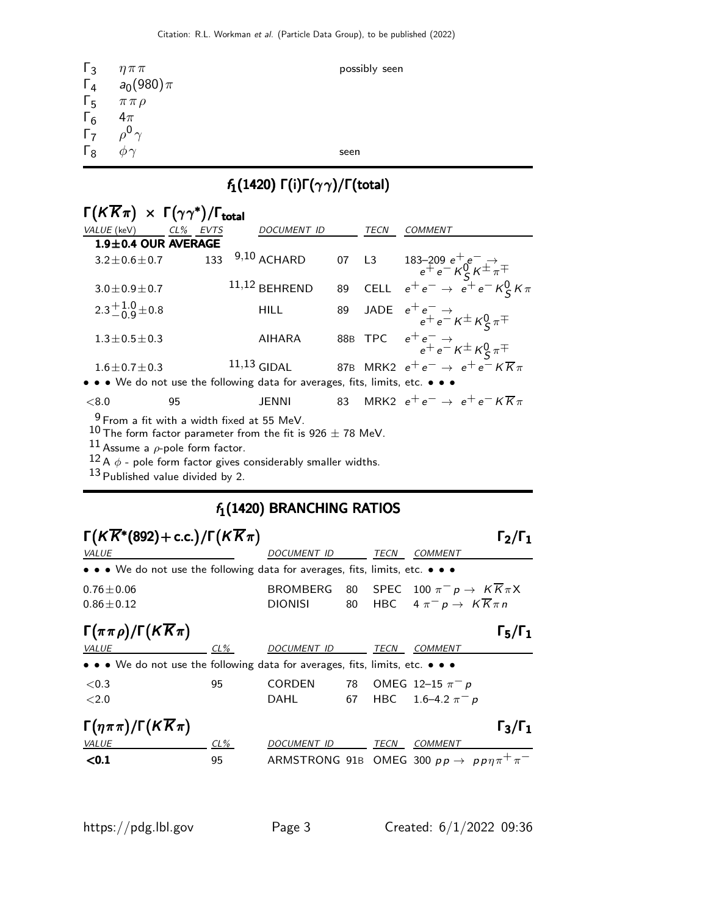| $\Gamma_3$                                                                | $\eta \pi \pi$           | possibly seen |
|---------------------------------------------------------------------------|--------------------------|---------------|
|                                                                           | $\Gamma_4$ $a_0(980)\pi$ |               |
| $\Gamma_5$                                                                | $\pi\,\pi\,\rho$         |               |
| $\begin{matrix} \Gamma_6 & 4\pi \\ \Gamma_7 & \rho^0 \gamma \end{matrix}$ |                          |               |
|                                                                           |                          |               |
| $\Gamma_8$                                                                | $\omega \gamma$          | seen          |

# $f_1(1420)$  Γ(i)Γ( $\gamma\gamma$ )/Γ(total)

| $\Gamma(K\overline{K}\pi) \times \Gamma(\gamma\gamma^*)/\Gamma_{\text{total}}$ |                       |                                                                               |    |             |                                                                                                                     |
|--------------------------------------------------------------------------------|-----------------------|-------------------------------------------------------------------------------|----|-------------|---------------------------------------------------------------------------------------------------------------------|
| VALUE (keV)                                                                    | $CL\%$<br><b>EVTS</b> | <b>DOCUMENT ID</b>                                                            |    | <b>TECN</b> | <b>COMMENT</b>                                                                                                      |
| $1.9 \pm 0.4$ OUR AVERAGE                                                      |                       |                                                                               |    |             |                                                                                                                     |
| $3.2 \pm 0.6 \pm 0.7$                                                          | 133                   | $9,10$ ACHARD                                                                 |    | 07 L3       | L3 183-209 $e^+e^- \rightarrow$<br>$e^+e^- K_S^0 K^{\pm} \pi^{\mp}$<br>CELL $e^+e^- \rightarrow e^+e^- K_S^0 K \pi$ |
| $3.0 \pm 0.9 \pm 0.7$                                                          |                       | $11,12$ BEHREND                                                               | 89 |             |                                                                                                                     |
| $2.3^{+1.0}_{-0.9}$ ± 0.8                                                      |                       | <b>HILL</b>                                                                   | 89 |             | JADE $e^+e^- \rightarrow e^+e^- \overline{\kappa} \pm \kappa \frac{0}{5} \pi^{\mp}$                                 |
| $1.3 \pm 0.5 \pm 0.3$                                                          |                       | <b>AIHARA</b>                                                                 |    |             | 88B TPC $e^+e^- \rightarrow$<br>$e^+e^- \nless K^{\pm}K^0_S \pi^{\mp}$                                              |
| $1.6 \pm 0.7 \pm 0.3$                                                          |                       | $11,13$ GIDAL                                                                 |    |             | 87B MRK2 $e^+e^- \rightarrow e^+e^- K \overline{K} \pi$                                                             |
|                                                                                |                       | • • • We do not use the following data for averages, fits, limits, etc. • • • |    |             |                                                                                                                     |
| ${<}8.0$                                                                       | 95                    | <b>JENNI</b>                                                                  | 83 |             | MRK2 $e^+e^- \rightarrow e^+e^-$ K $\overline{K}\pi$                                                                |
|                                                                                |                       | $\frac{9}{2}$ From a fit with a width fixed at 55 MeV.                        |    |             |                                                                                                                     |

 $^{10}$  The form factor parameter from the fit is 926  $\pm$  78 MeV.

 $^{11}$  Assume a  $\rho$ -pole form factor.

 $^{12}$  A  $\phi$  - pole form factor gives considerably smaller widths.

13 Published value divided by 2.

#### $f_1(1420)$  BRANCHING RATIOS

| $\Gamma(K\overline{K}^*(892)+c.c.)/\Gamma(K\overline{K}\pi)$                  |        |                                                                 |    |      |                                                  | $\Gamma_2/\Gamma_1$ |
|-------------------------------------------------------------------------------|--------|-----------------------------------------------------------------|----|------|--------------------------------------------------|---------------------|
| <b>VALUE</b>                                                                  |        | <i>DOCUMENT ID</i>                                              |    | TECN | COMMENT                                          |                     |
| • • • We do not use the following data for averages, fits, limits, etc. • • • |        |                                                                 |    |      |                                                  |                     |
| $0.76 \pm 0.06$                                                               |        | <b>BROMBERG</b>                                                 | 80 |      | SPEC 100 $\pi^- p \to K K \pi X$                 |                     |
| $0.86 \pm 0.12$                                                               |        | <b>DIONISI</b>                                                  | 80 |      | HBC $4 \pi^- p \rightarrow K \overline{K} \pi n$ |                     |
| $\Gamma(\pi\pi\rho)/\Gamma(K\overline{K}\pi)$                                 |        |                                                                 |    |      |                                                  | $\Gamma_5/\Gamma_1$ |
| VALUE                                                                         | $CL\%$ | DOCUMENT ID                                                     |    | TECN | <b>COMMENT</b>                                   |                     |
| • • • We do not use the following data for averages, fits, limits, etc. • • • |        |                                                                 |    |      |                                                  |                     |
| <0.3                                                                          | 95     | <b>CORDEN</b>                                                   | 78 |      | OMEG 12-15 $\pi^- p$                             |                     |
| ${<}2.0$                                                                      |        | DAHL                                                            | 67 |      | HBC $1.6-4.2 \pi^- p$                            |                     |
| $\Gamma(\eta \pi \pi)/\Gamma(K \overline{K} \pi)$                             |        |                                                                 |    |      |                                                  | $\Gamma_3/\Gamma_1$ |
| <b>VALUE</b>                                                                  | CL%    | DOCUMENT ID                                                     |    | TECN | <b>COMMENT</b>                                   |                     |
| $0.1$                                                                         | 95     | ARMSTRONG 91B OMEG 300 $pp \rightarrow pp \eta \pi^{+} \pi^{-}$ |    |      |                                                  |                     |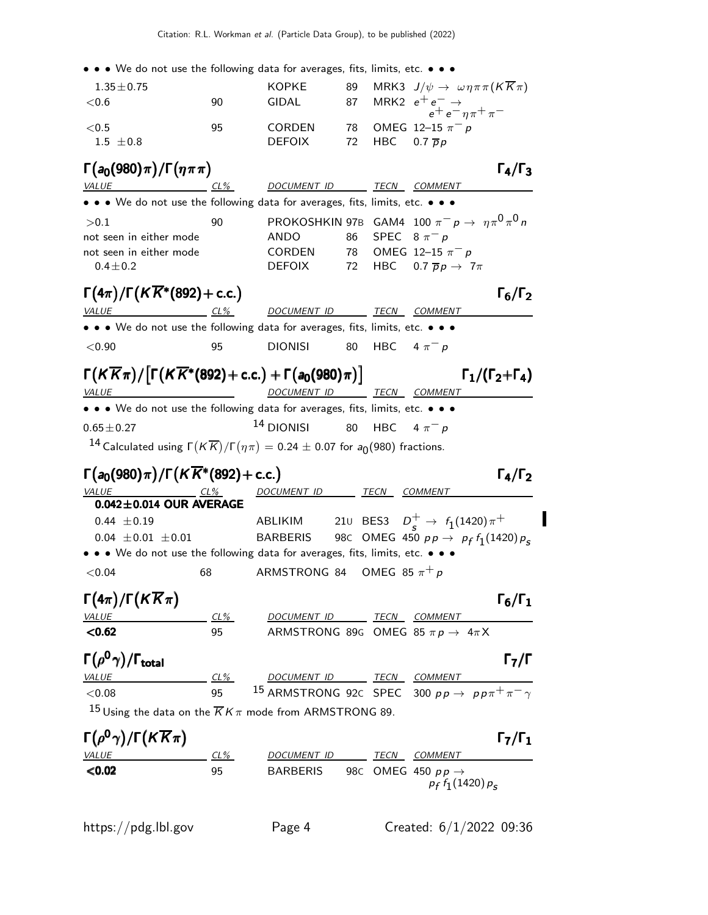• • • We do not use the following data for averages, fits, limits, etc. • • •

| $1.35 \pm 0.75$ |     | KOPKE         | 89 MRK3 $J/\psi \to \omega \eta \pi \pi (K K \pi)$   |
|-----------------|-----|---------------|------------------------------------------------------|
| $<$ 0.6         | 90. | GIDAL         | 87 MRK2 $e^+e^- \rightarrow e^+e^- \eta \pi^+ \pi^-$ |
|                 |     |               |                                                      |
| < 0.5           | 95  | <b>CORDEN</b> | 78 OMEG 12-15 $\pi^-$ p                              |
| $1.5 \pm 0.8$   |     | DEFOIX        | 72 HBC 0.7 <del>p</del> p                            |
|                 |     |               |                                                      |

 $\Gamma(a_0(980) \pi)/\Gamma(\eta \pi \pi)$  Γ<sub>4</sub>/Γ<sub>3</sub>  $\Gamma_4/\Gamma_3$ VALUE CL% DOCUMENT ID TECN COMMENT • • • We do not use the following data for averages, fits, limits, etc. • • •  $>$ 0.1 90 PROKOSHKIN 97B GAM4 100 π $^-$  ρ →  $~\eta \pi^0$  π $^0$  n not seen in either mode ANDO 86 SPEC  $8 \pi^{-} p$ not seen in either mode CORDEN 78 OMEG 12–15  $\pi^-$  p 0.4 $\pm$ 0.2 DEFOIX 72 HBC 0.7  $\overline{p}p \rightarrow 7\pi$  $\Gamma(4\pi)/\Gamma(K\overline{K}^*(892)+c.c.)$  Γ<sub>6</sub>/Γ<sub>2</sub> ) and the contract of  $\Gamma_6$ 

| <i>VALUE</i>                                                                  | $CL\%$ | DOCUMENT ID    | TECN               | <i>COMMENT</i> |
|-------------------------------------------------------------------------------|--------|----------------|--------------------|----------------|
| • • • We do not use the following data for averages, fits, limits, etc. • • • |        |                |                    |                |
| ${<}0.90$                                                                     | 95     | <b>DIONISI</b> | 80 HBC $4 \pi^- p$ |                |

| $\Gamma(K\overline{K}\pi)/[\Gamma(K\overline{K}^*(892)+c.c.)+\Gamma(a_0(980)\pi)]$                                        |                          |  | $\Gamma_1/(\Gamma_2+\Gamma_4)$ |
|---------------------------------------------------------------------------------------------------------------------------|--------------------------|--|--------------------------------|
| <i>VALUE</i>                                                                                                              | DOCUMENT ID TECN COMMENT |  |                                |
| $\bullet$ $\bullet$ $\bullet$ We do not use the following data for averages fits limits etc $\bullet$ $\bullet$ $\bullet$ |                          |  |                                |

• • • We do not use the following data for averages, fits, limits, etc. • •  $0.65 \pm 0.27$  14 DIONISI 80 HBC 4  $\pi^- p$ 

 $^{14}$  Calculated using Γ $(\overline{KK})$ /Γ $(\eta \pi)=$  0.24  $\pm$  0.07 for  $a_0$ (980) fractions.

#### Γ $(a_0(980)\pi)/\Gamma(K\overline{K}^*(892)+$  c.c.) Γ<sub>4</sub>/Γ<sub>2</sub>

VALUE CL% DOCUMENT ID TECN COMMENT  $0.042\pm0.014$  OUR AVERAGE 0.44 ±0.19 ABLIKIM 21U BES3 D + <sup>s</sup> <sup>→</sup> <sup>f</sup><sup>1</sup> (1420)π+ 0.04  $\pm$ 0.01  $\pm$ 0.01 BARBERIS 98C OMEG 450  $p p \to p_f f_1(1420) p_s$ • • • We do not use the following data for averages, fits, limits, etc. • • •

 $<$ 0.04 68 ARMSTRONG 84 OMEG 85  $\pi$ <sup>+</sup> p

# Γ $(4\pi)/\Gamma(K\overline{K}\pi)$  Γ<sub>6</sub>/Γ<sub>1</sub>

Γ6/ΓVALUE CL% DOCUMENT ID TECN COMMENT **<0.62** 95 ARMSTRONG 89G OMEG 85  $\pi p \rightarrow 4\pi X$ 

#### Γ $(\rho^0 \gamma)/\Gamma_{\rm total}$  Γ<sub>7</sub>/Γ )/Γ<sub>total</sub> Γ<sub>7</sub>/Γ

| <i>VALUE</i> | $CL\%$ | DOCUMENT ID                                                           | <i>TECN COMMENT</i>                                                          |
|--------------|--------|-----------------------------------------------------------------------|------------------------------------------------------------------------------|
| $<$ 0.08     | 95.    |                                                                       | <sup>15</sup> ARMSTRONG 92C SPEC 300 $pp \rightarrow pp\pi^{+}\pi^{-}\gamma$ |
|              |        | $15$ Using the data on the $\overline{K}K\pi$ mode from ARMSTRONG 89. |                                                                              |

#### $\Gamma(\rho^{\bf 0}\gamma)/\Gamma(K\overline{K}\pi)$  Γ<sub>7</sub>/Γ<sub>1</sub> Γ7/ΓCL% DOCUMENT ID TECN COMMENT  $\langle 0.02$  95 BARBERIS 98C OMEG 450 pp  $\rightarrow$  $p_f f_1(1420) p_s$

 $\mathbf{F}_4$ 

I